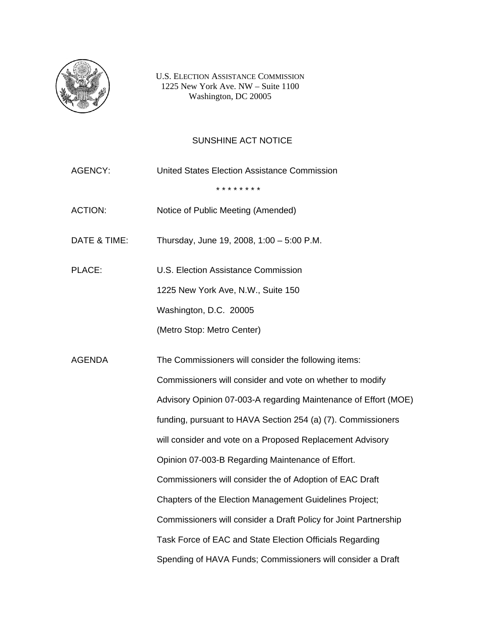

U.S. ELECTION ASSISTANCE COMMISSION 1225 New York Ave. NW – Suite 1100 Washington, DC 20005

## SUNSHINE ACT NOTICE

AGENCY: United States Election Assistance Commission \* \* \* \* \* \* \* \* ACTION: Notice of Public Meeting (Amended) DATE & TIME: Thursday, June 19, 2008, 1:00 – 5:00 P.M. PLACE: U.S. Election Assistance Commission 1225 New York Ave, N.W., Suite 150 Washington, D.C. 20005 (Metro Stop: Metro Center) AGENDA The Commissioners will consider the following items: Commissioners will consider and vote on whether to modify Advisory Opinion 07-003-A regarding Maintenance of Effort (MOE) funding, pursuant to HAVA Section 254 (a) (7). Commissioners will consider and vote on a Proposed Replacement Advisory Opinion 07-003-B Regarding Maintenance of Effort. Commissioners will consider the of Adoption of EAC Draft Chapters of the Election Management Guidelines Project; Commissioners will consider a Draft Policy for Joint Partnership Task Force of EAC and State Election Officials Regarding Spending of HAVA Funds; Commissioners will consider a Draft